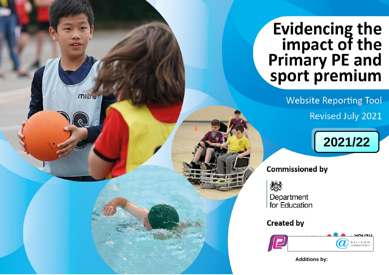# **Evidencing the** impact of the<br>Primary PE and<br>sport premium

**Website Reporting Tool Revised July 2021** 



# **Commissioned by**

燃

Public

mille

Department for Education

# **Created by**



**Additions by:**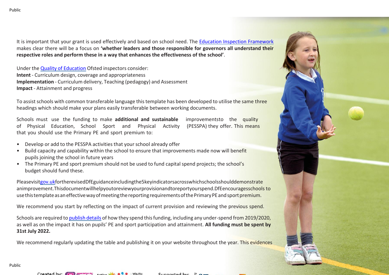It is important that your grant is used effectively and based on school need. The Education Inspection [Framework](https://assets.publishing.service.gov.uk/government/uploads/system/uploads/attachment_data/file/843108/School_inspection_handbook_-_section_5.pdf) makes clear there will be a focus on **'whether leaders and those responsible for governors all understand their respective roles and perform these in a way that enhances the effectiveness of the school'**.

Under the Quality of [Education](https://assets.publishing.service.gov.uk/government/uploads/system/uploads/attachment_data/file/843108/School_inspection_handbook_-_section_5.pdf) Ofsted inspectors consider: **Intent** - Curriculum design, coverage and appropriateness **Implementation** - Curriculum delivery, Teaching (pedagogy) and Assessment **Impact** - Attainment and progress

To assist schools with common transferable language this template has been developed to utilise the same three headings which should make your plans easily transferable between working documents.

Schools must use the funding to make **additional and sustainable** improvementsto the quality of Physical Education, School Sport and Physical Activity (PESSPA) they offer. This means that you should use the Primary PE and sport premium to:

- Develop or add to the PESSPA activities that your school already offer
- Build capacity and capability within the school to ensure that improvements made now will benefit pupils joining the school in future years
- The Primary PE and sport premium should not be used to fund capital spend projects; the school's budget should fund these.

Pleasevisi[tgov.ukf](https://www.gov.uk/guidance/pe-and-sport-premium-for-primary-schools)ortherevisedDfEguidanceincludingthe5keyindicatorsacrosswhichschoolsshoulddemonstrate animprovement.Thisdocumentwillhelpyoutoreviewyourprovisionandtoreportyourspend.DfEencouragesschools to use this template as an effective way of meeting the reporting requirements of the Primary PE and sport premium.

We recommend you start by reflecting on the impact of current provision and reviewing the previous spend.

Schools are required t[o publish details](https://www.gov.uk/guidance/what-maintained-schools-must-publish-online#pe-and-sport-premium-for-primary-schools) of how they spend this funding, including any under-spend from 2019/2020, as well as on the impact it has on pupils' PE and sport participation and attainment. **All funding must be spent by 31st July 2022.**

We recommend regularly updating the table and publishing it on your website throughout the year. This evidences



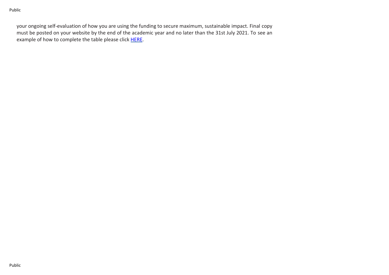your ongoing self-evaluation of how you are using the funding to secure maximum, sustainable impact. Final copy must be posted on your website by the end of the academic year and no later than the 31st July 2021. To see an example of how to complete the table please click [HERE.](http://www.afpe.org.uk/physical-education/wp-content/uploads/afPE-Example-Template-Indicator-2018-Final.pdf)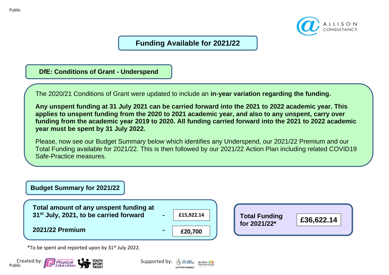

# **Funding Available for 2021/22**

**DfE: Conditions of Grant - Underspend**

The 2020/21 Conditions of Grant were updated to include an **in-year variation regarding the funding.**

Any unspent funding at 31 July 2021 can be carried forward into the 2021 to 2022 academic year. This applies to unspent funding from the 2020 to 2021 academic year, and also to any unspent, carry over funding from the academic year 2019 to 2020. All funding carried forward into the 2021 to 2022 academic **year must be spent by 31 July 2022.**

Please, now see our Budget Summary below which identifies any Underspend, our 2021/22 Premium and our Total Funding available for 2021/22. This is then followed by our 2021/22 Action Plan including related COVID19 Safe-Practice measures.



 $*$ To be spent and reported upon by 31st July 2022.



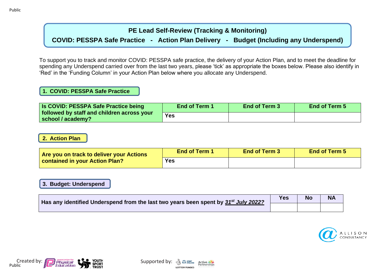## **PE Lead Self-Review (Tracking & Monitoring)**

## **COVID: PESSPA Safe Practice - Action Plan Delivery - Budget (Including any Underspend)**

To support you to track and monitor COVID: PESSPA safe practice, the delivery of your Action Plan, and to meet the deadline for spending any Underspend carried over from the last two years, please 'tick' as appropriate the boxes below. Please also identify in 'Red' in the 'Funding Column' in your Action Plan below where you allocate any Underspend.

## **1. COVID: PESSPA Safe Practice**

| <b>Is COVID: PESSPA Safe Practice being</b>                     | <b>End of Term 1</b> | End of Term 3 | <b>End of Term 5</b> |
|-----------------------------------------------------------------|----------------------|---------------|----------------------|
| followed by staff and children across your<br>school / academy? | Yes                  |               |                      |

## **2. Action Plan**

| Are you on track to deliver your Actions | <b>End of Term 1</b> | <b>End of Term 3</b> | <b>End of Term 5</b> |
|------------------------------------------|----------------------|----------------------|----------------------|
| <b>Contained in your Action Plan?</b>    | Yes                  |                      |                      |

## **3. Budget: Underspend**

| Has any identified Underspend from the last two years been spent by 31 <sup>st</sup> July 2022? | Yes | <b>No</b> | <b>NA</b> |
|-------------------------------------------------------------------------------------------------|-----|-----------|-----------|
|                                                                                                 |     |           |           |







Public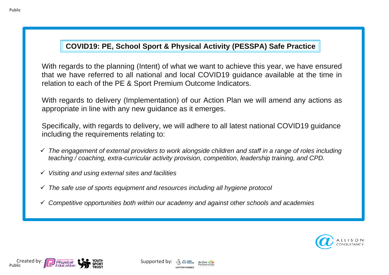# **COVID19: PE, School Sport & Physical Activity (PESSPA) Safe Practice**

With regards to the planning (Intent) of what we want to achieve this year, we have ensured that we have referred to all national and local COVID19 guidance available at the time in relation to each of the PE & Sport Premium Outcome Indicators.

With regards to delivery (Implementation) of our Action Plan we will amend any actions as appropriate in line with any new guidance as it emerges.

Specifically, with regards to delivery, we will adhere to all latest national COVID19 guidance including the requirements relating to:

- ✓ *The engagement of external providers to work alongside children and staff in a range of roles including teaching / coaching, extra-curricular activity provision, competition, leadership training, and CPD.*
- ✓ *Visiting and using external sites and facilities*
- ✓ *The safe use of sports equipment and resources including all hygiene protocol*
- ✓ *Competitive opportunities both within our academy and against other schools and academies*





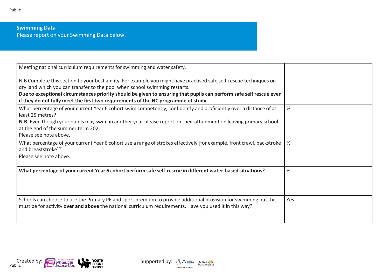## **Swimming Data** Please report on your Swimming Data below.

| $\%$          |
|---------------|
|               |
|               |
|               |
| $\frac{9}{6}$ |
|               |
| %             |
|               |
| Yes           |
|               |



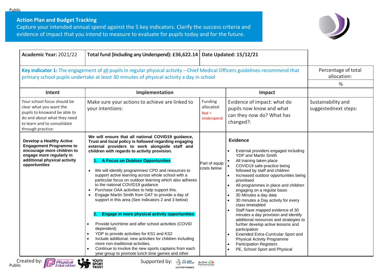**Action Plan and Budget Tracking**

Capture your intended annual spend against the 5 key indicators. Clarify the success criteria and evidence of impact that you intend to measure to evaluate for pupils today and for the future.



I

| Key indicator 1: The engagement of all pupils in regular physical activity - Chief Medical Officers guidelines recommend that<br>Percentage of total<br>allocation:<br>primary school pupils undertake at least 30 minutes of physical activity a day in school<br>%<br>Implementation<br>Impact<br>Intent<br>Your school focus should be<br>Funding<br>Make sure your actions to achieve are linked to<br>Evidence of impact: what do<br>Sustainability and<br>clear what you want the<br>allocated:<br>pupils now know and what<br>your intentions:<br>suggestednext steps:<br>pupils to knowand be able to<br>$Red =$<br>can they now do? What has<br>do and about what they need<br>Underspend<br>changed?:<br>to learn and to consolidate<br>through practice:<br>We will ensure that all national COVID19 guidance,<br><b>Evidence</b><br><b>Develop a Healthy Active</b><br>Trust and local policy is followed regarding engaging<br><b>Engagement Programme to</b><br>external providers to work alongside staff and<br>encourage more children to<br>children with regards to activity provision.<br>External providers engaged including<br>engage more regularly in<br>YDP and Martin Smith<br>additional physical activity<br>A Focus on Outdoor Opportunities<br>All training taken place<br>Part of equip<br>opportunities<br>COVID19 safe-practice being<br>costs below<br>We will identify programmes/ CPD and resources to<br>followed by staff and children<br>$\bullet$<br>support active learning across whole school with a<br>Increased outdoor opportunities being<br>particular focus on outdoor learning which also adheres<br>prioritised<br>to the national COVID19 guidance<br>All programmes in place and children<br>Purchase OAA activities to help support this.<br>engaging on a regular basis<br>Engage Martin Smith from GAT to provide a day of<br>30 Minutes a day data<br>support in this area (See Indicators 2 and 3 below)<br>30 minutes a Day activity for every<br>class timetabled<br>Staff have mapped evidence of 30<br><b>Engage in more physical activity opportunities</b><br>2.<br>minutes a day provision and identify<br>additional resources and strategies to<br>Provide lunchtime and after school activities (COVID<br>further develop active lessons and<br>dependent)<br>participation<br>YDP to provide activities for KS1 and KS2<br>Extended Extra-Curricular Sport and<br>Include additional, new activities for children including<br>Physical Activity Programme<br>more non-traditional activities.<br><b>Participation Registers</b> | Academic Year: 2021/22 | Total fund (Including any Underspend): £36,622.14     | Date Updated: 15/12/21        |  |
|--------------------------------------------------------------------------------------------------------------------------------------------------------------------------------------------------------------------------------------------------------------------------------------------------------------------------------------------------------------------------------------------------------------------------------------------------------------------------------------------------------------------------------------------------------------------------------------------------------------------------------------------------------------------------------------------------------------------------------------------------------------------------------------------------------------------------------------------------------------------------------------------------------------------------------------------------------------------------------------------------------------------------------------------------------------------------------------------------------------------------------------------------------------------------------------------------------------------------------------------------------------------------------------------------------------------------------------------------------------------------------------------------------------------------------------------------------------------------------------------------------------------------------------------------------------------------------------------------------------------------------------------------------------------------------------------------------------------------------------------------------------------------------------------------------------------------------------------------------------------------------------------------------------------------------------------------------------------------------------------------------------------------------------------------------------------------------------------------------------------------------------------------------------------------------------------------------------------------------------------------------------------------------------------------------------------------------------------------------------------------------------------------------------------------------------------------------------------------------------------------------------------------------------------------------------------------------------------------------|------------------------|-------------------------------------------------------|-------------------------------|--|
|                                                                                                                                                                                                                                                                                                                                                                                                                                                                                                                                                                                                                                                                                                                                                                                                                                                                                                                                                                                                                                                                                                                                                                                                                                                                                                                                                                                                                                                                                                                                                                                                                                                                                                                                                                                                                                                                                                                                                                                                                                                                                                                                                                                                                                                                                                                                                                                                                                                                                                                                                                                                        |                        |                                                       |                               |  |
|                                                                                                                                                                                                                                                                                                                                                                                                                                                                                                                                                                                                                                                                                                                                                                                                                                                                                                                                                                                                                                                                                                                                                                                                                                                                                                                                                                                                                                                                                                                                                                                                                                                                                                                                                                                                                                                                                                                                                                                                                                                                                                                                                                                                                                                                                                                                                                                                                                                                                                                                                                                                        |                        |                                                       |                               |  |
| year group to promote lunch time games and other                                                                                                                                                                                                                                                                                                                                                                                                                                                                                                                                                                                                                                                                                                                                                                                                                                                                                                                                                                                                                                                                                                                                                                                                                                                                                                                                                                                                                                                                                                                                                                                                                                                                                                                                                                                                                                                                                                                                                                                                                                                                                                                                                                                                                                                                                                                                                                                                                                                                                                                                                       |                        | Continue to involve the new sports captains from each | PE, School Sport and Physical |  |



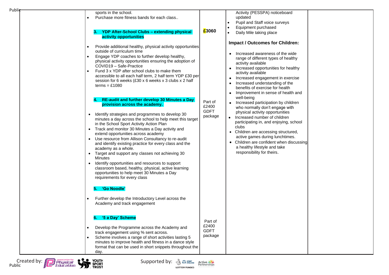| Public                                           |                                                                                                                                                                                                                                                                                                                                                                                                                                                                                                                                                                                                                                                                                                                                                                                                                   |                                            |                                                                                                                                                                                                                                                                                                                                                                                                                          |
|--------------------------------------------------|-------------------------------------------------------------------------------------------------------------------------------------------------------------------------------------------------------------------------------------------------------------------------------------------------------------------------------------------------------------------------------------------------------------------------------------------------------------------------------------------------------------------------------------------------------------------------------------------------------------------------------------------------------------------------------------------------------------------------------------------------------------------------------------------------------------------|--------------------------------------------|--------------------------------------------------------------------------------------------------------------------------------------------------------------------------------------------------------------------------------------------------------------------------------------------------------------------------------------------------------------------------------------------------------------------------|
|                                                  | sports in the school.<br>Purchase more fitness bands for each class<br><b>YDP After-School Clubs - extending physical</b><br>з.                                                                                                                                                                                                                                                                                                                                                                                                                                                                                                                                                                                                                                                                                   | £3060                                      | Activity (PESSPA) noticeboard<br>updated<br>Pupil and Staff voice surveys<br>Equipment purchased<br>Daily Mile taking place                                                                                                                                                                                                                                                                                              |
|                                                  | activity opportunities                                                                                                                                                                                                                                                                                                                                                                                                                                                                                                                                                                                                                                                                                                                                                                                            |                                            | <b>Impact / Outcomes for Children:</b>                                                                                                                                                                                                                                                                                                                                                                                   |
|                                                  | Provide additional healthy, physical activity opportunities<br>outside of curriculum time<br>Engage YDP coaches to further develop healthy,<br>physical activity opportunities ensuring the adoption of<br>COVID19 - Safe-Practice<br>Fund 3 x YDP after school clubs to make them<br>accessible to all each half term, 2 half term YDP £30 per<br>session for 6 weeks (£30 x 6 weeks x 3 clubs x 2 half<br>$terms = £1080$                                                                                                                                                                                                                                                                                                                                                                                       |                                            | Increased awareness of the wide<br>$\bullet$<br>range of different types of healthy<br>activity available<br>Increased opportunities for healthy<br>$\bullet$<br>activity available<br>Increased engagement in exercise<br>$\bullet$<br>Increased understanding of the<br>$\bullet$<br>benefits of exercise for health<br>Improvement in sense of health and<br>$\bullet$                                                |
|                                                  | RE-audit and further develop 30 Minutes a Day<br>provision across the academy.<br>Identify strategies and programmes to develop 30<br>$\bullet$<br>minutes a day across the school to help meet this target<br>in the School Sport Activity Action Plan<br>• Track and monitor 30 Minutes a Day activity and<br>extend opportunities across academy<br>• Use resource from Allison Consultancy to re-audit<br>and identify existing practice for every class and the<br>academy as a whole.<br>Target and support any classes not achieving 30<br>$\bullet$<br><b>Minutes</b><br>Identify opportunities and resources to support<br>$\bullet$<br>classroom based, healthy, physical, active learning<br>opportunities to help meet 30 Minutes a Day<br>requirements for every class<br><b>'Go Noodle'</b><br>5. . | Part of<br>£2400<br><b>GDFT</b><br>package | well-being<br>Increased participation by children<br>$\bullet$<br>who normally don't engage with<br>physical activity opportunities<br>Increased number of children<br>$\bullet$<br>participating in, and enjoying, school<br>clubs<br>• Children are accessing structured,<br>active games during lunchtimes.<br>• Children are confident when discussing<br>a healthy lifestyle and take<br>responsibility for theirs. |
|                                                  | Further develop the Introductory Level across the<br>Academy and track engagement                                                                                                                                                                                                                                                                                                                                                                                                                                                                                                                                                                                                                                                                                                                                 |                                            |                                                                                                                                                                                                                                                                                                                                                                                                                          |
|                                                  | '5 a Day' Scheme<br>6.<br>Develop the Programme across the Academy and<br>track engagement using % sent across.<br>Scheme involves a range of short activities lasting 5<br>minutes to improve health and fitness in a dance style<br>format that can be used in short snippets throughout the<br>day.                                                                                                                                                                                                                                                                                                                                                                                                                                                                                                            | Part of<br>£2400<br><b>GDFT</b><br>package |                                                                                                                                                                                                                                                                                                                                                                                                                          |
| Created by: 1<br>Physical<br>Education<br>Public | YOUTH<br>Supported by: $\frac{1}{2}$ $\frac{1}{2}$ $\frac{1}{2}$ $\frac{1}{2}$ active $\frac{1}{2}$<br>I SPORT<br>. TRUST<br>OTTERY FUNDED                                                                                                                                                                                                                                                                                                                                                                                                                                                                                                                                                                                                                                                                        |                                            |                                                                                                                                                                                                                                                                                                                                                                                                                          |

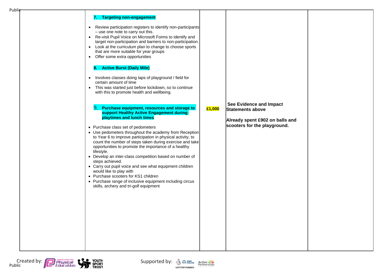| Publie |                                                                                                                                                                                                                                                                                                                                                                                                                                                                                                                                                                                                                                                                                                                                                                                                                                                                                                                                                                                                                                                                                                                                                                                                                                                                                                                                                                                                                                  |        |                                                                                                                |  |
|--------|----------------------------------------------------------------------------------------------------------------------------------------------------------------------------------------------------------------------------------------------------------------------------------------------------------------------------------------------------------------------------------------------------------------------------------------------------------------------------------------------------------------------------------------------------------------------------------------------------------------------------------------------------------------------------------------------------------------------------------------------------------------------------------------------------------------------------------------------------------------------------------------------------------------------------------------------------------------------------------------------------------------------------------------------------------------------------------------------------------------------------------------------------------------------------------------------------------------------------------------------------------------------------------------------------------------------------------------------------------------------------------------------------------------------------------|--------|----------------------------------------------------------------------------------------------------------------|--|
|        | 7. Targeting non-engagement<br>Review participation registers to identify non-participants<br>$\bullet$<br>- use one note to carry out this.<br>Re-visit Pupil Voice on Microsoft Forms to identify and<br>$\bullet$<br>target non-participation and barriers to non-participation.<br>• Look at the curriculum plan to change to choose sports<br>that are more suitable for year groups<br>• Offer some extra opportunities<br><b>Active Burst (Daily Mile)</b><br>8.<br>Involves classes doing laps of playground / field for<br>$\bullet$<br>certain amount of time<br>This was started just before lockdown, so to continue<br>with this to promote health and wellbeing.<br>9.<br>Purchase equipment, resources and storage to<br>support Healthy Active Engagement during<br>playtimes and lunch times<br>• Purchase class set of pedometers<br>• Use pedometers throughout the academy from Reception<br>to Year 6 to improve participation in physical activity, to<br>count the number of steps taken during exercise and take<br>opportunities to promote the importance of a healthy<br>lifestyle.<br>• Develop an inter-class competition based on number of<br>steps achieved.<br>• Carry out pupil voice and see what equipment children<br>would like to play with<br>• Purchase scooters for KS1 children<br>• Purchase range of inclusive equipment including circus<br>skills, archery and tri-golf equipment | £1,000 | See Evidence and Impact<br>Statements above<br>Already spent £902 on balls and<br>scooters for the playground. |  |

Created by: **Physical Conduct Conduct Conduct Conduct Conduct Conduct Conduct Conduct Conduct Conduct Conduct Conduct Conduct Conduction Supported by:<br>Public Conduction Conduction TRUST** 



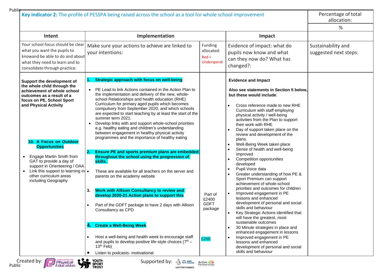| Key indicator 2: The profile of PESSPA being raised across the school as a tool for whole school improvement                                                                                                                                                                                                                                                                                                           |                                                                                                                                                                                                                                                                                                                                                                                                                                                                                                                                                                                                                                                                                                                                                                                                                                                                                                                                                                                                                                                                                                                                                                                                                                                   |                                                    |                                                                                                                                                                                                                                                                                                                                                                                                                                                                                                                                                                                                                                                                                                                                                                                                                                                                                                                                                                                                                                                                                                                                         | Percentage of total<br>allocation:          |
|------------------------------------------------------------------------------------------------------------------------------------------------------------------------------------------------------------------------------------------------------------------------------------------------------------------------------------------------------------------------------------------------------------------------|---------------------------------------------------------------------------------------------------------------------------------------------------------------------------------------------------------------------------------------------------------------------------------------------------------------------------------------------------------------------------------------------------------------------------------------------------------------------------------------------------------------------------------------------------------------------------------------------------------------------------------------------------------------------------------------------------------------------------------------------------------------------------------------------------------------------------------------------------------------------------------------------------------------------------------------------------------------------------------------------------------------------------------------------------------------------------------------------------------------------------------------------------------------------------------------------------------------------------------------------------|----------------------------------------------------|-----------------------------------------------------------------------------------------------------------------------------------------------------------------------------------------------------------------------------------------------------------------------------------------------------------------------------------------------------------------------------------------------------------------------------------------------------------------------------------------------------------------------------------------------------------------------------------------------------------------------------------------------------------------------------------------------------------------------------------------------------------------------------------------------------------------------------------------------------------------------------------------------------------------------------------------------------------------------------------------------------------------------------------------------------------------------------------------------------------------------------------------|---------------------------------------------|
|                                                                                                                                                                                                                                                                                                                                                                                                                        |                                                                                                                                                                                                                                                                                                                                                                                                                                                                                                                                                                                                                                                                                                                                                                                                                                                                                                                                                                                                                                                                                                                                                                                                                                                   |                                                    |                                                                                                                                                                                                                                                                                                                                                                                                                                                                                                                                                                                                                                                                                                                                                                                                                                                                                                                                                                                                                                                                                                                                         | %                                           |
| Intent                                                                                                                                                                                                                                                                                                                                                                                                                 | Implementation                                                                                                                                                                                                                                                                                                                                                                                                                                                                                                                                                                                                                                                                                                                                                                                                                                                                                                                                                                                                                                                                                                                                                                                                                                    |                                                    | Impact                                                                                                                                                                                                                                                                                                                                                                                                                                                                                                                                                                                                                                                                                                                                                                                                                                                                                                                                                                                                                                                                                                                                  |                                             |
| Your school focus should be clear<br>what you want the pupils to<br>knowand be able to do and about<br>what they need to learn and to<br>consolidate through practice:                                                                                                                                                                                                                                                 | Make sure your actions to achieve are linked to<br>your intentions:                                                                                                                                                                                                                                                                                                                                                                                                                                                                                                                                                                                                                                                                                                                                                                                                                                                                                                                                                                                                                                                                                                                                                                               | Funding<br>allocated:<br>$Red =$<br>Underspend     | Evidence of impact: what do<br>pupils now know and what<br>can they now do? What has<br>changed?:                                                                                                                                                                                                                                                                                                                                                                                                                                                                                                                                                                                                                                                                                                                                                                                                                                                                                                                                                                                                                                       | Sustainability and<br>suggested next steps: |
| Support the development of<br>the whole child through the<br>achievement of whole school<br>outcomes as a result of a<br>focus on PE, School Sport<br>and Physical Activity<br>10. A Focus on Outdoor<br><b>Opportunities</b><br>Engage Martin Smith from<br>GAT to provide a day of<br>support in Orienteering / OAA<br>• Link this support to learning in $\bullet$<br>other curriculum areas<br>including Geography | Strategic approach with focus on well-being<br>PE Lead to link Actions contained in the Action Plan to<br>$\bullet$<br>the implementation and delivery of the new, whole-<br>school Relationships and health education (RHE)<br>Curriculum for primary aged pupils which becomes<br>compulsory from September 2020, and which schools<br>are expected to start teaching by at least the start of the<br>summer term 2021.<br>Develop links with and support whole-school priorities<br>e.g. healthy eating and children's understanding<br>between engagement in healthy physical activity<br>programmes and the importance of healthy eating<br><b>Ensure PE and sports premium plans are embedded</b><br>2.<br>throughout the school using the progression of<br>skills.<br>These are available for all teachers on the server and<br>parents on the academy website<br><b>Work with Allison Consultancy to review and</b><br>3.<br>develop 2020-21 Action plans to support this<br>Part of the GDFT package to have 2 days with Allison<br>Consultancy as CPD<br>4. Create a Well-Being Week<br>Host a well-being and health week to encourage staff<br>$\bullet$<br>and pupils to develop positive life-style choices $(7th -$<br>$13th$ Feb) | Part of<br>£2400<br><b>GDFT</b><br>package<br>£200 | <b>Evidence and Impact</b><br>Also see statements in Section 5 below,<br>but these would include:<br>Cross reference made to new RHE<br>Curriculum with staff employing<br>physical activity / well-being<br>activities from the Plan to support<br>their work with RHE<br>Day of support taken place on the<br>$\bullet$<br>review and development of the<br>plans.<br>Well-Being Week taken place<br>Sense of health and well-being<br>improved<br>Competition opportunities<br>developed<br>Pupil Voice data<br>$\bullet$<br>Greater understanding of how PE &<br>$\bullet$<br>Sport Premium can support<br>achievement of whole-school<br>priorities and outcomes for children<br>Improved engagement in PE<br>$\bullet$<br>lessons and enhanced<br>development of personal and social<br>skills and behaviour<br>Key Strategic Actions identified that<br>will have the greatest, most<br>sustainable outcomes<br>30 Minute strategies in place and<br>$\bullet$<br>enhanced engagement in lessons<br>Improved engagement in PE<br>$\bullet$<br>lessons and enhanced<br>development of personal and social<br>skills and behaviour |                                             |

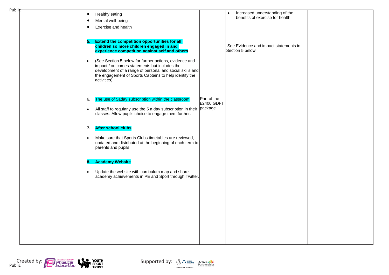| Public |                                                                                                                                                                                                                                                           |             |                                                          |  |
|--------|-----------------------------------------------------------------------------------------------------------------------------------------------------------------------------------------------------------------------------------------------------------|-------------|----------------------------------------------------------|--|
|        | Healthy eating<br>$\bullet$                                                                                                                                                                                                                               |             | Increased understanding of the<br>$\bullet$              |  |
|        | Mental well-being<br>$\bullet$                                                                                                                                                                                                                            |             | benefits of exercise for health                          |  |
|        | Exercise and health<br>٠                                                                                                                                                                                                                                  |             |                                                          |  |
|        |                                                                                                                                                                                                                                                           |             |                                                          |  |
|        | <b>Extend the competition opportunities for all</b><br>5.<br>children so more children engaged in and<br>experience competition against self and others                                                                                                   |             | See Evidence and impact statements in<br>Section 5 below |  |
|        | (See Section 5 below for further actions, evidence and<br>$\bullet$<br>impact / outcomes statements but includes the<br>development of a range of personal and social skills and<br>the engagement of Sports Captains to help identify the<br>activities) |             |                                                          |  |
|        | The use of 5aday subscription within the classroom<br>6.                                                                                                                                                                                                  | Part of the |                                                          |  |
|        |                                                                                                                                                                                                                                                           | £2400 GDFT  |                                                          |  |
|        | All staff to regularly use the 5 a day subscription in their package<br>$\bullet$<br>classes. Allow pupils choice to engage them further.                                                                                                                 |             |                                                          |  |
|        | <b>After school clubs</b><br>7.                                                                                                                                                                                                                           |             |                                                          |  |
|        | Make sure that Sports Clubs timetables are reviewed,<br>$\bullet$<br>updated and distributed at the beginning of each term to<br>parents and pupils                                                                                                       |             |                                                          |  |
|        | <b>Academy Website</b><br>8.                                                                                                                                                                                                                              |             |                                                          |  |
|        | Update the website with curriculum map and share<br>$\bullet$<br>academy achievements in PE and Sport through Twitter.                                                                                                                                    |             |                                                          |  |
|        |                                                                                                                                                                                                                                                           |             |                                                          |  |
|        |                                                                                                                                                                                                                                                           |             |                                                          |  |
|        |                                                                                                                                                                                                                                                           |             |                                                          |  |
|        |                                                                                                                                                                                                                                                           |             |                                                          |  |
|        |                                                                                                                                                                                                                                                           |             |                                                          |  |
|        |                                                                                                                                                                                                                                                           |             |                                                          |  |



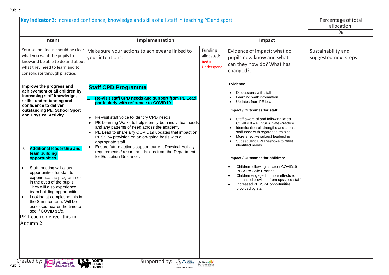| Key indicator 3: Increased confidence, knowledge and skills of all staff in teaching PE and sport                                                                                                                                                                                                                                                                                                                                                                                                                                                                                                                                   |                                                                                                                                                                                                                                                                                                                                                                                                                                                                                                                                                                                                                        | Percentage of total<br>allocation:<br>%        |                                                                                                                                                                                                                                                                                                                                                                                                                                                                                                                                                                                                                                      |                                             |
|-------------------------------------------------------------------------------------------------------------------------------------------------------------------------------------------------------------------------------------------------------------------------------------------------------------------------------------------------------------------------------------------------------------------------------------------------------------------------------------------------------------------------------------------------------------------------------------------------------------------------------------|------------------------------------------------------------------------------------------------------------------------------------------------------------------------------------------------------------------------------------------------------------------------------------------------------------------------------------------------------------------------------------------------------------------------------------------------------------------------------------------------------------------------------------------------------------------------------------------------------------------------|------------------------------------------------|--------------------------------------------------------------------------------------------------------------------------------------------------------------------------------------------------------------------------------------------------------------------------------------------------------------------------------------------------------------------------------------------------------------------------------------------------------------------------------------------------------------------------------------------------------------------------------------------------------------------------------------|---------------------------------------------|
| Intent                                                                                                                                                                                                                                                                                                                                                                                                                                                                                                                                                                                                                              | Implementation                                                                                                                                                                                                                                                                                                                                                                                                                                                                                                                                                                                                         |                                                | Impact                                                                                                                                                                                                                                                                                                                                                                                                                                                                                                                                                                                                                               |                                             |
| Your school focus should be clear<br>what you want the pupils to<br>knowand be able to do and about<br>what they need to learn and to<br>consolidate through practice:                                                                                                                                                                                                                                                                                                                                                                                                                                                              | Make sure your actions to achieveare linked to<br>your intentions:                                                                                                                                                                                                                                                                                                                                                                                                                                                                                                                                                     | Funding<br>allocated:<br>$Red =$<br>Underspend | Evidence of impact: what do<br>pupils now know and what<br>can they now do? What has<br>changed?:                                                                                                                                                                                                                                                                                                                                                                                                                                                                                                                                    | Sustainability and<br>suggested next steps: |
| Improve the progress and<br>achievement of all children by<br>increasing staff knowledge,<br>skills, understanding and<br>confidence to deliver<br>outstanding PE, School Sport<br>and Physical Activity<br><b>Additional leadership and</b><br>9.<br>team building<br>opportunities.<br>Staff meeting will allow<br>opportunities for staff to<br>experience the programmes<br>in the eyes of the pupils.<br>They will also experience<br>team building opportunities.<br>Looking at completing this in<br>the Summer term. Will be<br>assessed nearer the time to<br>see if COVID safe.<br>PE Lead to deliver this in<br>Autumn 2 | <b>Staff CPD Programme</b><br>1.<br>Re-visit staff CPD needs and support from PE Lead<br>particularly with reference to COVID19<br>Re-visit staff voice to identify CPD needs<br>$\bullet$<br>PE Learning Walks to help identify both individual needs<br>$\bullet$<br>and any patterns of need across the academy<br>PE Lead to share any COVID19 updates that impact on<br>$\bullet$<br>PESSPA provision on an on-going basis with all<br>appropriate staff<br>Ensure future actions support current Physical Activity<br>$\bullet$<br>requirements / recommendations from the Department<br>for Education Guidance. |                                                | <b>Evidence</b><br>Discussions with staff<br>Learning walk information<br>Updates from PE Lead<br>Impact / Outcomes for staff:<br>Staff aware of and following latest<br>COVID19 - PESSPA Safe-Practice<br>Identification of strengths and areas of<br>staff need with regards to training<br>More effective subject leadership<br>Subsequent CPD bespoke to meet<br>identified needs<br>Impact / Outcomes for children:<br>Children following all latest COVID19 -<br>PESSPA Safe-Practice<br>Children engaged in more effective,<br>enhanced provision from upskilled staff<br>Increased PESSPA opportunities<br>provided by staff |                                             |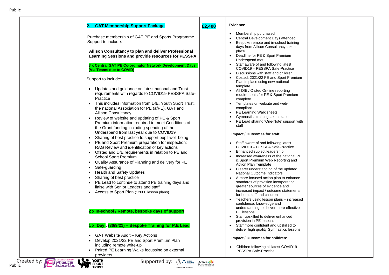### **2. GAT Membership Support Package**

Purchase membership of GAT PE and Sports Programme. Support to include:

**Allison Consultancy to plan and deliver Professional Learning Sessions and provide resources for PESSPA**

**3 x Central GAT PE Co -ordinator Network Development Days (Via Teams due to COVID)**

#### Support to include:

- Updates and guidance on latest national and Trust requirements with regards to COVID19 PESSPA Safe - **Practice**
- This includes information from DfE, Youth Sport Trust, the national Association for PE (afPE), GAT and Allison Consultancy
- Review of website and updating of PE & Sport Premium information required to meet Conditions of the Grant funding including spending of the Underspend from last year due to COVID19
- Sharing of best practice to support pupil well-being
- PE and Sport Premium preparation for inspection: RAG Review and identification of key actions
- Ofsted and DfE requirements in relation to PE and School Sport Premium
- Quality Assurance of Planning and delivery for PE
- Safe-guarding
- Health and Safety Updates
- Sharing of best practice
- PE Lead to continue to attend PE training days and liaise with Senior Leaders and staff
- Access to Sport Plan (12000 lesson plans)

#### **2 x In -school / Remote, bespoke days of support**

#### **1 x Day : (30/9/21 ) – Bespoke Training for P.E Lead**

- GAT Website Audit Key Actions
- Develop 2021/22 PE and Sport Premium Plan including remote write -up
- Paired PE Learning Walks focussing on external providers

#### **£2,400 Evidence**

- Membership purchased
- Central Development Days attended
- Bespoke remote and in-school training days from Allison Consultancy taken place
- Deadline for PE & Sport Premium Underspend met
- Staff aware of and following latest COVID19 – PESSPA Safe -Practice
- Discussions with staff and children
- Costed, 2021/22 PE and Sport Premium Plan in place using new national template
- All DfE / Ofsted On-line reporting requirements for PE & Sport Premium complete
- Templates on website and web compliant
- PE Learning Walk sheets
- Gymnastics training taken place
- PE Lead sharing 'One-Note' support with staff

#### **Impact / Outcomes for staff:**

- Staff aware of and following latest COVID19 – PESSPA Safe -Practice
- Enhanced subject leadership
- Increased awareness of the national PE & Sport Premium Web Reporting and Action Plan Template
- Clearer understanding of the updated National Outcome Indicators
- A more focused action plan to enhance standards of provision incorporating greater sources of evidence and increased impact / outcome statements for both staff and children
- Teachers using lesson plans increased confidence, knowledge and understanding to deliver more effective PE lessons
- Staff upskilled to deliver enhanced provision in PE lessons
- Staff more confident and upskilled to deliver high quality Gymnastics lessons

#### **Impact / Outcomes for children:**

• Children following all latest COVID19 – PESSPA Safe -Practice



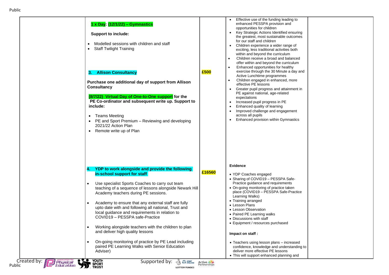| 1 x Day: (12/1/22) - Gymnastics<br><b>Support to include:</b><br>Modelled sessions with children and staff<br><b>Staff Twilight Training</b><br><b>Allison Consultancy</b><br>З.<br>Purchase one additional day of support from Allison<br><b>Consultancy</b><br>(8/7/22) Virtual Day of One-to-One support for the<br>PE Co-ordinator and subsequent write up. Support to<br>include:                                                                                                                             | £500                   | Effective use of the funding leading to<br>$\bullet$<br>enhanced PESSPA provision and<br>opportunities for children<br>Key Strategic Actions Identified ensuring<br>$\bullet$<br>the greatest, most sustainable outcomes<br>for our staff and children<br>Children experience a wider range of<br>$\bullet$<br>exciting, less traditional activities both<br>within and beyond the curriculum<br>Children receive a broad and balanced<br>offer within and beyond the curriculum<br>Enhanced opportunities for healthy<br>exercise through the 30 Minute a day and<br>Active Lunchtime programmes<br>Children engaged in enhanced, more<br>$\bullet$<br>effective PE lessons<br>• Greater pupil progress and attainment in<br>PE against national, age-related<br>expectations<br>Increased pupil progress in PE<br>$\bullet$<br>Enhanced quality of learning<br>Improved challenge and engagement<br>$\bullet$<br>across all pupils |
|--------------------------------------------------------------------------------------------------------------------------------------------------------------------------------------------------------------------------------------------------------------------------------------------------------------------------------------------------------------------------------------------------------------------------------------------------------------------------------------------------------------------|------------------------|--------------------------------------------------------------------------------------------------------------------------------------------------------------------------------------------------------------------------------------------------------------------------------------------------------------------------------------------------------------------------------------------------------------------------------------------------------------------------------------------------------------------------------------------------------------------------------------------------------------------------------------------------------------------------------------------------------------------------------------------------------------------------------------------------------------------------------------------------------------------------------------------------------------------------------------|
| <b>Teams Meeting</b><br>PE and Sport Premium - Reviewing and developing<br>2021/22 Action Plan<br>Remote write up of Plan<br>$\bullet$                                                                                                                                                                                                                                                                                                                                                                             |                        | Enhanced provision within Gymnastics<br>$\bullet$<br><b>Evidence</b>                                                                                                                                                                                                                                                                                                                                                                                                                                                                                                                                                                                                                                                                                                                                                                                                                                                                 |
| YDP to work alongside and provide the following<br>4.<br>in-school support for staff<br>Use specialist Sports Coaches to carry out team<br>teaching of a sequence of lessons alongside Newark Hill<br>Academy teachers during PE sessions.<br>Academy to ensure that any external staff are fully<br>upto date with and following all national, Trust and<br>local guidance and requirements in relation to<br>COVID19 - PESSPA safe-Practice<br>Working alongside teachers with the children to plan<br>$\bullet$ | £16560                 | • YDP Coaches engaged<br>• Sharing of COVID19 - PESSPA Safe-<br>Practice guidance and requirements<br>• On-going monitoring of practice taken<br>place (COVID19 - PESSPA Safe-Practice<br>Learning Walks)<br>• Training arranged<br>• Lesson Plans<br>• Lesson Observation<br>• Paired PE Learning walks<br>• Discussions with staff<br>• Equipment / resources purchased                                                                                                                                                                                                                                                                                                                                                                                                                                                                                                                                                            |
| and deliver high quality lessons<br>On-going monitoring of practice by PE Lead including<br>$\bullet$<br>paired PE Learning Walks with Senior Education<br>Adviser)<br><b>YOUTH<br/>SPORT<br/>TRUST</b><br>$\bullet\searrow\bullet$<br>Created by:<br>Supported by:<br><b>OG SPORT</b><br>Physical                                                                                                                                                                                                                 | Active<br>Partnerships | Impact on staff:<br>• Teachers using lesson plans - increased<br>confidence, knowledge and understanding to<br>deliver more effective PE lessons<br>• This will support enhanced planning and                                                                                                                                                                                                                                                                                                                                                                                                                                                                                                                                                                                                                                                                                                                                        |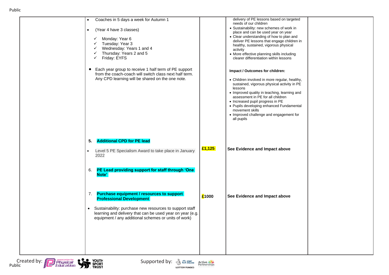|                                                                                                                      | delivery of PE lessons based on targeted                                                                                                                                                                                                                                                                                                                                                    |                               |
|----------------------------------------------------------------------------------------------------------------------|---------------------------------------------------------------------------------------------------------------------------------------------------------------------------------------------------------------------------------------------------------------------------------------------------------------------------------------------------------------------------------------------|-------------------------------|
|                                                                                                                      | needs of our children<br>• Sustainability: new schemes of work in<br>place and can be used year on year<br>• Clear understanding of how to plan and<br>deliver PE lessons that engage children in<br>healthy, sustained, vigorous physical<br>activity<br>• More effective planning skills including<br>clearer differentiation within lessons                                              |                               |
| Each year group to receive 1 half term of PE support<br>from the coach-coach will switch class next half term.       | Impact / Outcomes for children:<br>• Children involved in more regular, healthy,<br>sustained, vigorous physical activity in PE<br>lessons<br>• Improved quality in teaching, learning and<br>assessment in PE for all children<br>• Increased pupil progress in PE<br>• Pupils developing enhanced Fundamental<br>movement skills<br>• Improved challenge and engagement for<br>all pupils |                               |
|                                                                                                                      |                                                                                                                                                                                                                                                                                                                                                                                             |                               |
|                                                                                                                      |                                                                                                                                                                                                                                                                                                                                                                                             |                               |
| PE Lead providing support for staff through 'One                                                                     |                                                                                                                                                                                                                                                                                                                                                                                             |                               |
| £1000                                                                                                                | See Evidence and Impact above                                                                                                                                                                                                                                                                                                                                                               |                               |
| Sustainability: purchase new resources to support staff<br>learning and delivery that can be used year on year (e.g. |                                                                                                                                                                                                                                                                                                                                                                                             |                               |
|                                                                                                                      | £1,125<br>Level 5 PE Specialism Award to take place in January                                                                                                                                                                                                                                                                                                                              | See Evidence and Impact above |



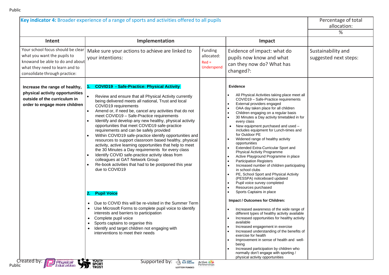|                                                                                                                                                                        | Key indicator 4: Broader experience of a range of sports and activities offered to all pupils                                                                                                                                                                                                                                                                                                                                                                                                                                                                                                                                                                                                                                                                                                                                                                                                                                                                                                                                                                                                                                                                                                                                                                                                                                                   |                                                |                                                                                                                                                                                                                                                                                                                                                                                                                                                                                                                                                                                                                                                                                                                                                                                                                                                                                                                                                                                                                                                                                                                                                                                                                                                                                                                     | Percentage of total<br>allocation:<br>%     |
|------------------------------------------------------------------------------------------------------------------------------------------------------------------------|-------------------------------------------------------------------------------------------------------------------------------------------------------------------------------------------------------------------------------------------------------------------------------------------------------------------------------------------------------------------------------------------------------------------------------------------------------------------------------------------------------------------------------------------------------------------------------------------------------------------------------------------------------------------------------------------------------------------------------------------------------------------------------------------------------------------------------------------------------------------------------------------------------------------------------------------------------------------------------------------------------------------------------------------------------------------------------------------------------------------------------------------------------------------------------------------------------------------------------------------------------------------------------------------------------------------------------------------------|------------------------------------------------|---------------------------------------------------------------------------------------------------------------------------------------------------------------------------------------------------------------------------------------------------------------------------------------------------------------------------------------------------------------------------------------------------------------------------------------------------------------------------------------------------------------------------------------------------------------------------------------------------------------------------------------------------------------------------------------------------------------------------------------------------------------------------------------------------------------------------------------------------------------------------------------------------------------------------------------------------------------------------------------------------------------------------------------------------------------------------------------------------------------------------------------------------------------------------------------------------------------------------------------------------------------------------------------------------------------------|---------------------------------------------|
| Intent                                                                                                                                                                 | Implementation                                                                                                                                                                                                                                                                                                                                                                                                                                                                                                                                                                                                                                                                                                                                                                                                                                                                                                                                                                                                                                                                                                                                                                                                                                                                                                                                  |                                                | Impact                                                                                                                                                                                                                                                                                                                                                                                                                                                                                                                                                                                                                                                                                                                                                                                                                                                                                                                                                                                                                                                                                                                                                                                                                                                                                                              |                                             |
| Your school focus should be clear<br>what you want the pupils to<br>knowand be able to do and about<br>what they need to learn and to<br>consolidate through practice: | Make sure your actions to achieve are linked to<br>your intentions:                                                                                                                                                                                                                                                                                                                                                                                                                                                                                                                                                                                                                                                                                                                                                                                                                                                                                                                                                                                                                                                                                                                                                                                                                                                                             | Funding<br>allocated:<br>$Red =$<br>Underspend | Evidence of impact: what do<br>pupils now know and what<br>can they now do? What has<br>changed?:                                                                                                                                                                                                                                                                                                                                                                                                                                                                                                                                                                                                                                                                                                                                                                                                                                                                                                                                                                                                                                                                                                                                                                                                                   | Sustainability and<br>suggested next steps: |
| Increase the range of healthy,<br>physical activity opportunities<br>outside of the curriculum in<br>order to engage more children<br>Created by:                      | <b>COVID19 - Safe-Practice: Physical Activity</b><br>$\mathbf{1}$ .<br>Review and ensure that all Physical Activity currently<br>$\bullet$<br>being delivered meets all national, Trust and local<br>COVID19 requirements<br>Amend or, if need be, cancel any activities that do not<br>$\bullet$<br>meet COVID19 - Safe-Practice requirements<br>Identify and develop any new healthy, physical activity<br>opportunities that meet COVID19 safe-practice<br>requirements and can be safely provided<br>Within COVID19 safe-practice identify opportunities and<br>$\bullet$<br>resources to support classroom based healthy, physical<br>activity, active learning opportunities that help to meet<br>the 30 Minutes a Day requirements for every class<br>Identify COVID safe-practice activity ideas from<br>colleagues at GAT Network Group<br>Re-book activities that had to be postponed this year<br>due to COVID19<br>2. Pupil Voice<br>Due to COVID this will be re-visited in the Summer Term<br>Use Microsoft Forms to complete pupil voice to identify<br>$\bullet$<br>interests and barriers to participation<br>Complete pupil voice<br>Sports captains to organise this<br>Identify and target children not engaging with<br>interventions to meet their needs<br><b>VOUTH</b><br><b>SPORT</b><br><b>SPORT</b><br>Supported by: |                                                | <b>Evidence</b><br>All Physical Activities taking place meet all<br>COVID19 - Safe-Practice requirements<br>External providers engaged<br>OAA day taken place for all children<br>Children engaging on a regular basis<br>30 Minutes a Day activity timetabled in for<br>every class<br>New equipment purchased and used -<br>includes equipment for Lunch-times and<br>for Outdoor PE<br>Widened range of healthy activity<br>opportunities<br>Extended Extra-Curricular Sport and<br><b>Physical Activity Programme</b><br>Active Playground Programme in place<br><b>Participation Registers</b><br>Increased number of children participating<br>in school clubs<br>PE, School Sport and Physical Activity<br>(PESSPA) noticeboard updated<br>Pupil voice survey completed<br>Resources purchased<br>Sports Captains in place<br>Impact / Outcomes for Children:<br>Increased awareness of the wide range of<br>different types of healthy activity available<br>Increased opportunities for healthy activity<br>available<br>Increased engagement in exercise<br>Increased understanding of the benefits of<br>exercise for health<br>Improvement in sense of health and well-<br>being<br>Increased participation by children who<br>normally don't engage with sporting /<br>physical activity opportunities |                                             |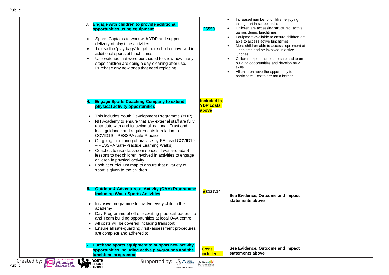| <b>Engage with children to provide additional</b><br>13.<br>opportunities using equipment<br>Sports Captains to work with YDP and support<br>delivery of play time activities.<br>To use the 'play bags' to get more children involved in<br>additional sports at lunch times.<br>Use watches that were purchased to show how many<br>steps children are doing a day-cleaning after use. -<br>Purchase any new ones that need replacing | £5550                                           | Increased number of children enjoying<br>taking part in school clubs<br>Children are accessing structured, active<br>games during lunchtimes<br>Equipment available to ensure children are<br>able to access active lunchtimes.<br>More children able to access equipment at<br>lunch time and be involved in active<br>lunches<br>Children experience leadership and team<br>building opportunities and develop new<br>skills.<br>All children have the opportunity to<br>participate – costs are not a barrier |  |
|-----------------------------------------------------------------------------------------------------------------------------------------------------------------------------------------------------------------------------------------------------------------------------------------------------------------------------------------------------------------------------------------------------------------------------------------|-------------------------------------------------|------------------------------------------------------------------------------------------------------------------------------------------------------------------------------------------------------------------------------------------------------------------------------------------------------------------------------------------------------------------------------------------------------------------------------------------------------------------------------------------------------------------|--|
| <b>Engage Sports Coaching Company to extend</b><br>physical activity opportunities                                                                                                                                                                                                                                                                                                                                                      | <b>Included in</b><br><b>YDP costs</b><br>above |                                                                                                                                                                                                                                                                                                                                                                                                                                                                                                                  |  |
| This includes Youth Development Programme (YDP)<br>NH Academy to ensure that any external staff are fully<br>upto date with and following all national, Trust and<br>local guidance and requirements in relation to<br>COVID19 - PESSPA safe-Practice                                                                                                                                                                                   |                                                 |                                                                                                                                                                                                                                                                                                                                                                                                                                                                                                                  |  |
| • On-going monitoring of practice by PE Lead COVID19<br>- PESSPA Safe-Practice Learning Walks)<br>• Coaches to use classroom spaces if wet and adapt<br>lessons to get children involved in activities to engage<br>children in physical activity<br>• Look at curriculum map to ensure that a variety of<br>sport is given to the children                                                                                             |                                                 |                                                                                                                                                                                                                                                                                                                                                                                                                                                                                                                  |  |
| <b>Outdoor &amp; Adventurous Activity (OAA) Programme</b><br>5.<br>including Water Sports Activities                                                                                                                                                                                                                                                                                                                                    | £3127.14                                        |                                                                                                                                                                                                                                                                                                                                                                                                                                                                                                                  |  |
| • Inclusive programme to involve every child in the<br>academy<br>• Day Programme of off-site exciting practical leadership<br>and Team building opportunities at local OAA centre<br>All costs will be covered including transport<br>Ensure all safe-guarding / risk-assessment procedures<br>are complete and adhered to                                                                                                             |                                                 | See Evidence, Outcome and Impact<br>statements above                                                                                                                                                                                                                                                                                                                                                                                                                                                             |  |
| Purchase sports equipment to support new activity<br>opportunities including active playgrounds and the                                                                                                                                                                                                                                                                                                                                 | <b>Costs</b><br>included in                     | See Evidence, Outcome and Impact<br>statements above                                                                                                                                                                                                                                                                                                                                                                                                                                                             |  |

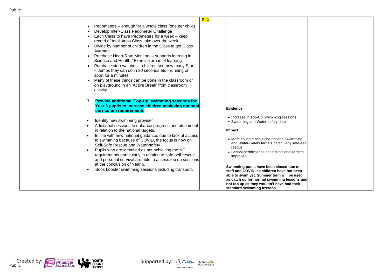| • Pedometers - enough for a whole class (one per child)<br>Develop Inter-Class Pedometer Challenge<br>$\bullet$<br>• Each Class to have Pedometers for a week - keep<br>record of total steps Class take over the week<br>Divide by number of children in the Class to get Class<br>Average<br>• Purchase Heart-Rate Monitors - supports learning in<br>Science and Health / Exercise areas of learning<br>• Purchase stop-watches - children see how many Star<br>- Jumps they can do in 30 seconds etc - running on<br>sport for a minutes<br>Many of these things can be done in the classroom or<br>on playground in an 'Active Break' from classroom<br>activity<br><b>Provide additional 'Top-Up' swimming sessions for</b><br>7.<br>Year 6 pupils to increase children achieving national<br>curriculum requirements<br>Identify new swimming provider<br>Additional sessions to enhance progress and attainment<br>in relation to the national targets. | KI 1<br><b>Evidence</b><br>• Increase in Top-Up Swimming sessions<br>• Swimming and Water-safety data<br><b>Impact</b>                                                                                                                                        |  |
|-----------------------------------------------------------------------------------------------------------------------------------------------------------------------------------------------------------------------------------------------------------------------------------------------------------------------------------------------------------------------------------------------------------------------------------------------------------------------------------------------------------------------------------------------------------------------------------------------------------------------------------------------------------------------------------------------------------------------------------------------------------------------------------------------------------------------------------------------------------------------------------------------------------------------------------------------------------------|---------------------------------------------------------------------------------------------------------------------------------------------------------------------------------------------------------------------------------------------------------------|--|
| In line with new national guidance, due to lack of access<br>to swimming because of COVID, the focus is now on<br>Self-Safe Rescue and Water-safety<br>Pupils who are identified as not achieving the NC<br>requirements particularly in relation to safe-self rescue<br>and personal survival are able to access top up sessions                                                                                                                                                                                                                                                                                                                                                                                                                                                                                                                                                                                                                               | • More children achieving national Swimming<br>and Water-Safety targets particularly safe-self<br>rescue<br>School performance against national targets<br>improved                                                                                           |  |
| at the conclusion of Year 6.<br>Book booster swimming sessions including transport.                                                                                                                                                                                                                                                                                                                                                                                                                                                                                                                                                                                                                                                                                                                                                                                                                                                                             | Swimming pools have been closed due to<br>staff and COVID, so children have not been<br>able to swim yet. Summer term will be used<br>as catch up for normal swimming lessons and<br>not top up as they wouldn't have had their<br>standard swimming lessons. |  |



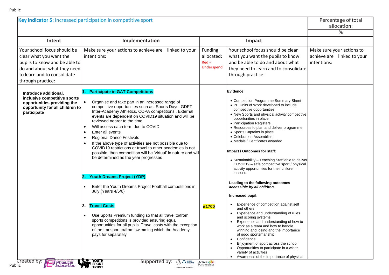|                                                                                                                                                                            | Key indicator 5: Increased participation in competitive sport                                                                                                                                                                                                                                                                                                                                                                                                                                                                                                                                                                                                                                                                             |                                                                                                                                                                                                                           |                                                                                                                                                                                                                                                                                                                                                                                                                                                                                                                                                                                                                                                        | Percentage of total<br>allocation:<br>%                                |
|----------------------------------------------------------------------------------------------------------------------------------------------------------------------------|-------------------------------------------------------------------------------------------------------------------------------------------------------------------------------------------------------------------------------------------------------------------------------------------------------------------------------------------------------------------------------------------------------------------------------------------------------------------------------------------------------------------------------------------------------------------------------------------------------------------------------------------------------------------------------------------------------------------------------------------|---------------------------------------------------------------------------------------------------------------------------------------------------------------------------------------------------------------------------|--------------------------------------------------------------------------------------------------------------------------------------------------------------------------------------------------------------------------------------------------------------------------------------------------------------------------------------------------------------------------------------------------------------------------------------------------------------------------------------------------------------------------------------------------------------------------------------------------------------------------------------------------------|------------------------------------------------------------------------|
| Intent                                                                                                                                                                     | Implementation                                                                                                                                                                                                                                                                                                                                                                                                                                                                                                                                                                                                                                                                                                                            |                                                                                                                                                                                                                           | Impact                                                                                                                                                                                                                                                                                                                                                                                                                                                                                                                                                                                                                                                 |                                                                        |
| Your school focus should be<br>clear what you want the<br>pupils to know and be able to<br>do and about what they need<br>to learn and to consolidate<br>through practice: | Make sure your actions to achieve are linked to your<br>intentions:                                                                                                                                                                                                                                                                                                                                                                                                                                                                                                                                                                                                                                                                       | Funding<br>Your school focus should be clear<br>allocated:<br>what you want the pupils to know<br>$Red =$<br>and be able to do and about what<br>Underspend<br>they need to learn and to consolidate<br>through practice: |                                                                                                                                                                                                                                                                                                                                                                                                                                                                                                                                                                                                                                                        | Make sure your actions to<br>achieve are linked to your<br>intentions: |
| Introduce additional,<br>inclusive competitive sports<br>opportunities providing the<br>opportunity for all children to<br>participate                                     | <b>Participate in GAT Competitions</b><br>Organise and take part in an increased range of<br>competitive opportunities such as; Sports Days, GDFT<br>Inter-Academy Athletics, COPA competitions,. External<br>events are dependent on COVID19 situation and will be<br>reviewed nearer to the time.<br>Will assess each term due to COVID<br>Enter all events<br><b>Regional Dance Festivals</b><br>If the above type of activities are not possible due to<br>COVID19 restrictions or travel to other academies is not<br>possible, then competition will be 'virtual' in nature and will<br>be determined as the year progresses<br><b>Youth Dreams Project (YDP)</b><br>12,<br>Enter the Youth Dreams Project Football competitions in |                                                                                                                                                                                                                           | <b>Evidence</b><br>• Competition Programme Summary Sheet<br>• PE Units of Work developed to include<br>competitive opportunities<br>• New Sports and physical activity competitive<br>opportunities in place<br>• Participation Registers<br>• Resources to plan and deliver programme<br>• Sports Captains in place<br>• Celebration Assemblies<br>• Medals / Certificates awarded<br>Impact / Outcomes for staff:<br>• Sustainability - Teaching Staff able to deliver<br>COVID19 - safe competitive sport / physical<br>activity opportunities for their children in<br>lessons<br>Leading to the following outcomes<br>accessible by all children. |                                                                        |
|                                                                                                                                                                            | July (Years 4/5/6)<br><b>Travel Costs</b><br>13.                                                                                                                                                                                                                                                                                                                                                                                                                                                                                                                                                                                                                                                                                          | £1700                                                                                                                                                                                                                     | Increased pupil:<br>Experience of competition against self<br>$\bullet$                                                                                                                                                                                                                                                                                                                                                                                                                                                                                                                                                                                |                                                                        |
|                                                                                                                                                                            | Use Sports Premium funding so that all travel to/from<br>sports competitions is provided ensuring equal<br>opportunities for all pupils. Travel costs with the exception<br>of the transport to/from swimming which the Academy<br>pays for separately                                                                                                                                                                                                                                                                                                                                                                                                                                                                                    |                                                                                                                                                                                                                           | and others<br>Experience and understanding of rules<br>and scoring systems<br>Experience and understanding of how to<br>work as a team and how to handle<br>winning and losing and the importance<br>of good sportsmanship<br>Confidence<br>$\bullet$<br>Enjoyment of sport across the school                                                                                                                                                                                                                                                                                                                                                          |                                                                        |
| Created by: <b>M</b><br><b>Physical</b><br>Education                                                                                                                       | Youth<br>Sport<br>Trust<br>Supported by:<br><b>OF SPORT</b>                                                                                                                                                                                                                                                                                                                                                                                                                                                                                                                                                                                                                                                                               | Active<br>Partnerships                                                                                                                                                                                                    | $\bullet$<br>Opportunities to participate in a wider<br>variety of activities<br>Awareness of the importance of physical<br>$\bullet$                                                                                                                                                                                                                                                                                                                                                                                                                                                                                                                  |                                                                        |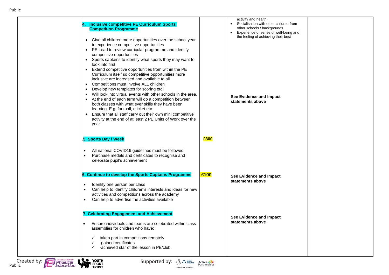| <b>Inclusive competitive PE Curriculum Sports</b><br><b>Competition Programme</b><br>Give all children more opportunities over the school year<br>$\bullet$                                                                                                                                                                                                                                                                                                                                                                                                                                                                                                                                                                                                                                                                                                                                          |      | activity and health<br>Socialisation with other children from<br>$\bullet$<br>other schools / backgrounds<br>Experience of sense of well-being and<br>the feeling of achieving their best |  |
|------------------------------------------------------------------------------------------------------------------------------------------------------------------------------------------------------------------------------------------------------------------------------------------------------------------------------------------------------------------------------------------------------------------------------------------------------------------------------------------------------------------------------------------------------------------------------------------------------------------------------------------------------------------------------------------------------------------------------------------------------------------------------------------------------------------------------------------------------------------------------------------------------|------|-------------------------------------------------------------------------------------------------------------------------------------------------------------------------------------------|--|
| to experience competitive opportunities<br>PE Lead to review curricular programme and identify<br>$\bullet$<br>competitive opportunities<br>Sports captains to identify what sports they may want to<br>$\bullet$<br>look into first<br>Extend competitive opportunities from within the PE<br>$\bullet$<br>Curriculum itself so competitive opportunities more<br>inclusive are increased and available to all<br>Competitions must involve ALL children<br>$\bullet$<br>Develop new templates for scoring etc.<br>٠<br>Will look into virtual events with other schools in the area.<br>٠<br>At the end of each term will do a competition between<br>$\bullet$<br>both classes with what ever skills they have been<br>learning. E.g. football, cricket etc.<br>Ensure that all staff carry out their own mini competitive<br>activity at the end of at least 2 PE Units of Work over the<br>year |      | See Evidence and Impact<br>statements above                                                                                                                                               |  |
| 5. Sports Day / Week<br>All national COVID19 guidelines must be followed                                                                                                                                                                                                                                                                                                                                                                                                                                                                                                                                                                                                                                                                                                                                                                                                                             | £300 |                                                                                                                                                                                           |  |
| Purchase medals and certificates to recognise and<br>celebrate pupil's achievement                                                                                                                                                                                                                                                                                                                                                                                                                                                                                                                                                                                                                                                                                                                                                                                                                   |      |                                                                                                                                                                                           |  |
| 6. Continue to develop the Sports Captains Programme<br>Identify one person per class<br>٠<br>Can help to identify children's interests and ideas for new<br>activities and competitions across the academy<br>Can help to advertise the activities available                                                                                                                                                                                                                                                                                                                                                                                                                                                                                                                                                                                                                                        | £100 | See Evidence and Impact<br>statements above                                                                                                                                               |  |
| 7. Celebrating Engagement and Achievement<br>Ensure individuals and teams are celebrated within class<br>assemblies for children who have:<br>taken part in competitions remotely                                                                                                                                                                                                                                                                                                                                                                                                                                                                                                                                                                                                                                                                                                                    |      | See Evidence and Impact<br>statements above                                                                                                                                               |  |
| -gained certificates<br>-achieved star of the lesson in PE/club.                                                                                                                                                                                                                                                                                                                                                                                                                                                                                                                                                                                                                                                                                                                                                                                                                                     |      |                                                                                                                                                                                           |  |